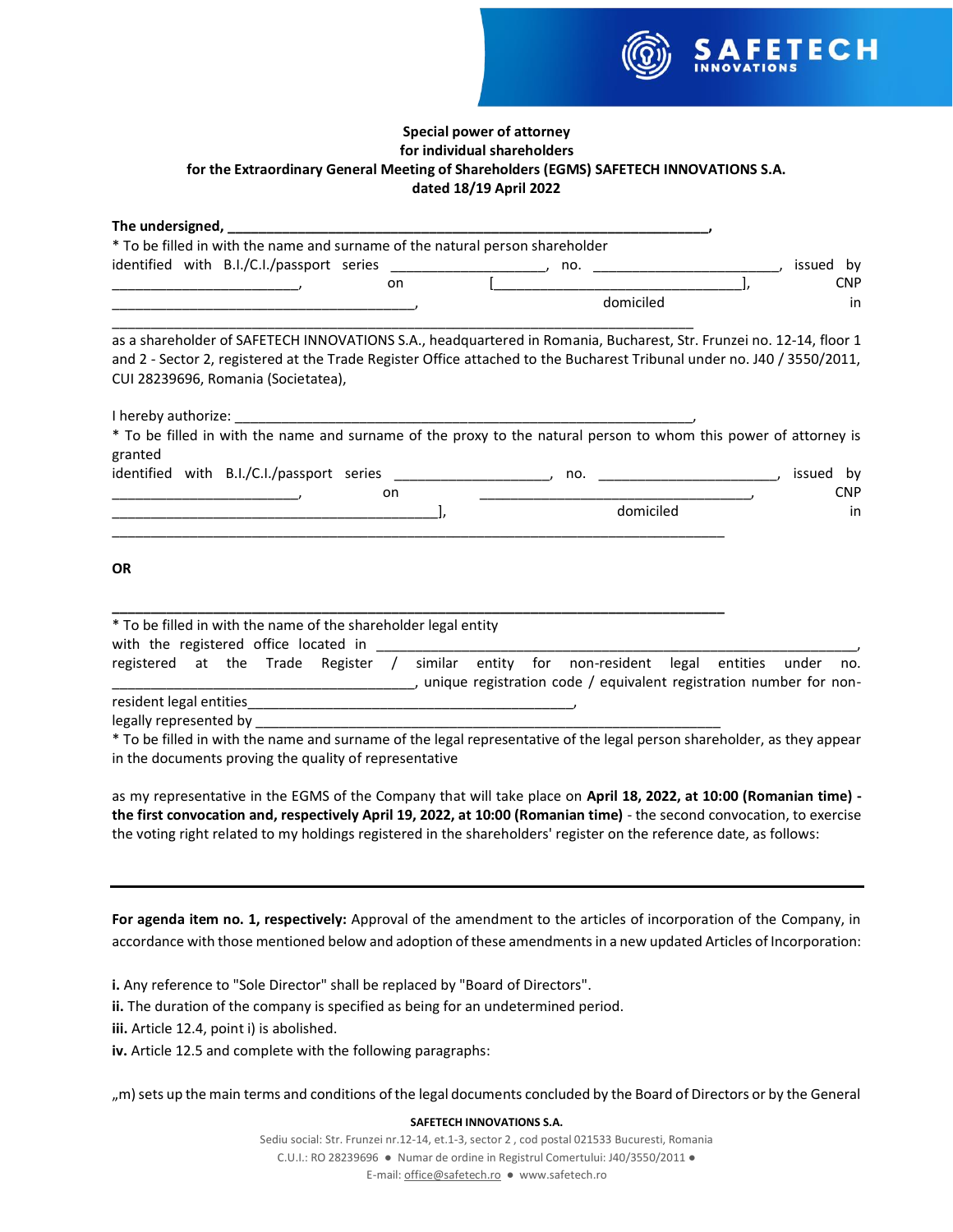

# **Special power of attorney for individual shareholders for the Extraordinary General Meeting of Shareholders (EGMS) SAFETECH INNOVATIONS S.A. dated 18/19 April 2022**

| The undersigned, The understand and the understand of the understand of the union of the union of the union of                                                 |           |              |
|----------------------------------------------------------------------------------------------------------------------------------------------------------------|-----------|--------------|
| * To be filled in with the name and surname of the natural person shareholder                                                                                  |           |              |
| identified with B.I./C.I./passport series ________________________, no. ___________________________                                                            |           | issued by    |
| on<br>$\overline{a}$                                                                                                                                           |           | <b>CNP</b>   |
|                                                                                                                                                                | domiciled | in           |
| as a shareholder of SAFETECH INNOVATIONS S.A., headquartered in Romania, Bucharest, Str. Frunzei no. 12-14, floor 1                                            |           |              |
| and 2 - Sector 2, registered at the Trade Register Office attached to the Bucharest Tribunal under no. J40 / 3550/2011,<br>CUI 28239696, Romania (Societatea), |           |              |
|                                                                                                                                                                |           |              |
| * To be filled in with the name and surname of the proxy to the natural person to whom this power of attorney is<br>granted                                    |           |              |
|                                                                                                                                                                |           | issued by    |
| on<br>$\mathcal{L} = \{x_1, x_2, \ldots, x_n\}$                                                                                                                |           | <b>CNP</b>   |
|                                                                                                                                                                | domiciled | in           |
| <b>OR</b>                                                                                                                                                      |           |              |
| * To be filled in with the name of the shareholder legal entity                                                                                                |           |              |
| registered at the Trade Register / similar entity for non-resident legal entities                                                                              |           | under<br>no. |
|                                                                                                                                                                |           |              |
|                                                                                                                                                                |           |              |
| * To be filled in with the name and surname of the legal representative of the legal person shareholder, as they appear                                        |           |              |

in the documents proving the quality of representative

as my representative in the EGMS of the Company that will take place on **April 18, 2022, at 10:00 (Romanian time) the first convocation and, respectively April 19, 2022, at 10:00 (Romanian time)** - the second convocation, to exercise the voting right related to my holdings registered in the shareholders' register on the reference date, as follows:

**For agenda item no. 1, respectively:** Approval of the amendment to the articles of incorporation of the Company, in accordance with those mentioned below and adoption of these amendments in a new updated Articles of Incorporation:

**i.** Any reference to "Sole Director" shall be replaced by "Board of Directors".

**ii.** The duration of the company is specified as being for an undetermined period.

**iii.** Article 12.4, point i) is abolished.

**iv.** Article 12.5 and complete with the following paragraphs:

", m) sets up the main terms and conditions of the legal documents concluded by the Board of Directors or by the General

# **SAFETECH INNOVATIONS S.A.**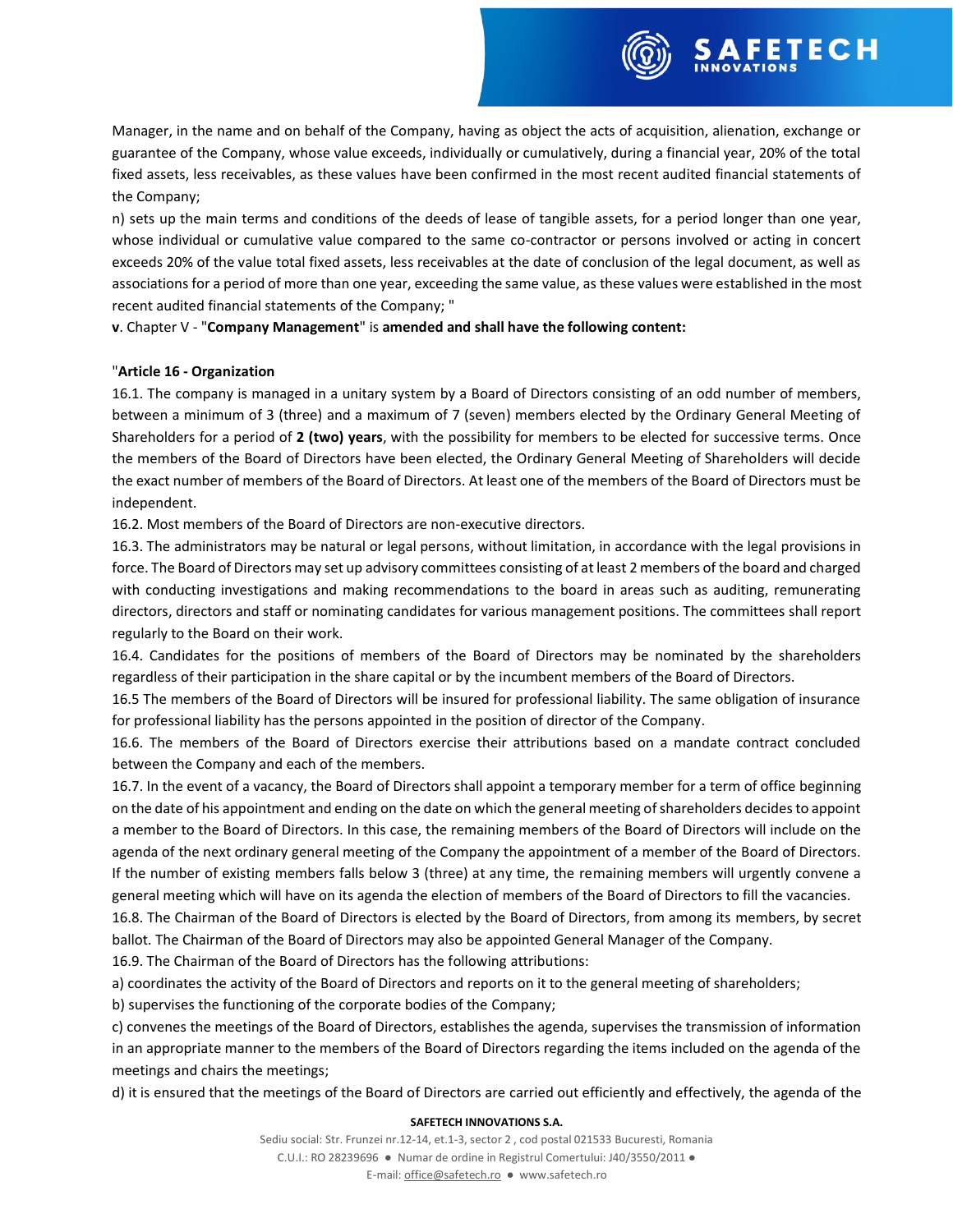Manager, in the name and on behalf of the Company, having as object the acts of acquisition, alienation, exchange or guarantee of the Company, whose value exceeds, individually or cumulatively, during a financial year, 20% of the total fixed assets, less receivables, as these values have been confirmed in the most recent audited financial statements of the Company;

**FETECH** 

n) sets up the main terms and conditions of the deeds of lease of tangible assets, for a period longer than one year, whose individual or cumulative value compared to the same co-contractor or persons involved or acting in concert exceeds 20% of the value total fixed assets, less receivables at the date of conclusion of the legal document, as well as associations for a period of more than one year, exceeding the same value, as these values were established in the most recent audited financial statements of the Company; "

**v**. Chapter V - "**Company Management**" is **amended and shall have the following content:**

# "**Article 16 - Organization**

16.1. The company is managed in a unitary system by a Board of Directors consisting of an odd number of members, between a minimum of 3 (three) and a maximum of 7 (seven) members elected by the Ordinary General Meeting of Shareholders for a period of **2 (two) years**, with the possibility for members to be elected for successive terms. Once the members of the Board of Directors have been elected, the Ordinary General Meeting of Shareholders will decide the exact number of members of the Board of Directors. At least one of the members of the Board of Directors must be independent.

16.2. Most members of the Board of Directors are non-executive directors.

16.3. The administrators may be natural or legal persons, without limitation, in accordance with the legal provisions in force. The Board of Directors may set up advisory committees consisting of at least 2 members of the board and charged with conducting investigations and making recommendations to the board in areas such as auditing, remunerating directors, directors and staff or nominating candidates for various management positions. The committees shall report regularly to the Board on their work.

16.4. Candidates for the positions of members of the Board of Directors may be nominated by the shareholders regardless of their participation in the share capital or by the incumbent members of the Board of Directors.

16.5 The members of the Board of Directors will be insured for professional liability. The same obligation of insurance for professional liability has the persons appointed in the position of director of the Company.

16.6. The members of the Board of Directors exercise their attributions based on a mandate contract concluded between the Company and each of the members.

16.7. In the event of a vacancy, the Board of Directors shall appoint a temporary member for a term of office beginning on the date of his appointment and ending on the date on which the general meeting of shareholders decides to appoint a member to the Board of Directors. In this case, the remaining members of the Board of Directors will include on the agenda of the next ordinary general meeting of the Company the appointment of a member of the Board of Directors. If the number of existing members falls below 3 (three) at any time, the remaining members will urgently convene a general meeting which will have on its agenda the election of members of the Board of Directors to fill the vacancies.

16.8. The Chairman of the Board of Directors is elected by the Board of Directors, from among its members, by secret ballot. The Chairman of the Board of Directors may also be appointed General Manager of the Company.

16.9. The Chairman of the Board of Directors has the following attributions:

a) coordinates the activity of the Board of Directors and reports on it to the general meeting of shareholders;

b) supervises the functioning of the corporate bodies of the Company;

c) convenes the meetings of the Board of Directors, establishes the agenda, supervises the transmission of information in an appropriate manner to the members of the Board of Directors regarding the items included on the agenda of the meetings and chairs the meetings;

d) it is ensured that the meetings of the Board of Directors are carried out efficiently and effectively, the agenda of the

# **SAFETECH INNOVATIONS S.A.**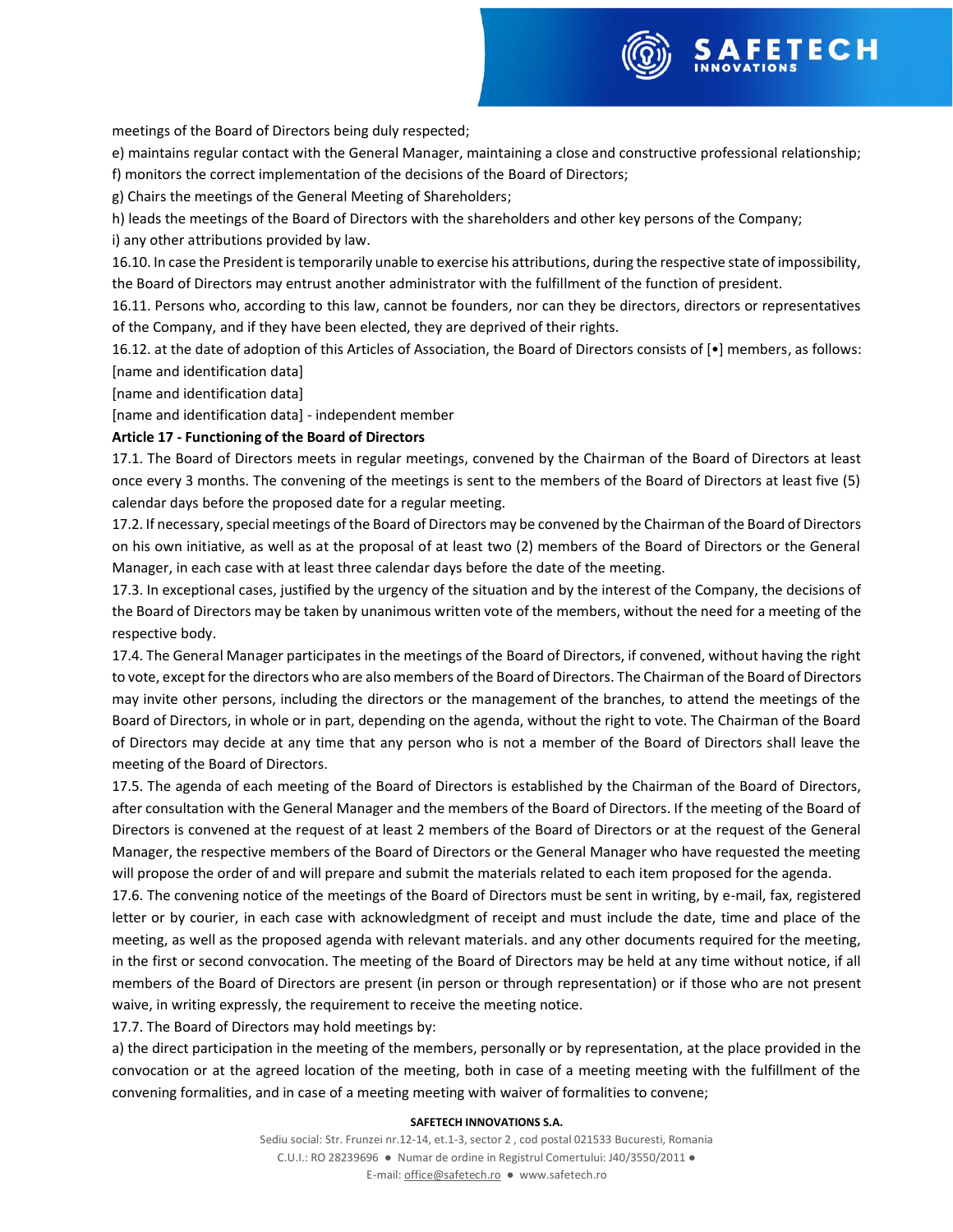meetings of the Board of Directors being duly respected;

e) maintains regular contact with the General Manager, maintaining a close and constructive professional relationship;

f) monitors the correct implementation of the decisions of the Board of Directors;

g) Chairs the meetings of the General Meeting of Shareholders;

h) leads the meetings of the Board of Directors with the shareholders and other key persons of the Company;

i) any other attributions provided by law.

16.10. In case the President is temporarily unable to exercise his attributions, during the respective state of impossibility, the Board of Directors may entrust another administrator with the fulfillment of the function of president.

16.11. Persons who, according to this law, cannot be founders, nor can they be directors, directors or representatives of the Company, and if they have been elected, they are deprived of their rights.

16.12. at the date of adoption of this Articles of Association, the Board of Directors consists of [•] members, as follows: [name and identification data]

[name and identification data]

[name and identification data] - independent member

# **Article 17 - Functioning of the Board of Directors**

17.1. The Board of Directors meets in regular meetings, convened by the Chairman of the Board of Directors at least once every 3 months. The convening of the meetings is sent to the members of the Board of Directors at least five (5) calendar days before the proposed date for a regular meeting.

17.2. If necessary, special meetings of the Board of Directors may be convened by the Chairman of the Board of Directors on his own initiative, as well as at the proposal of at least two (2) members of the Board of Directors or the General Manager, in each case with at least three calendar days before the date of the meeting.

17.3. In exceptional cases, justified by the urgency of the situation and by the interest of the Company, the decisions of the Board of Directors may be taken by unanimous written vote of the members, without the need for a meeting of the respective body.

17.4. The General Manager participates in the meetings of the Board of Directors, if convened, without having the right to vote, except for the directors who are also members of the Board of Directors. The Chairman of the Board of Directors may invite other persons, including the directors or the management of the branches, to attend the meetings of the Board of Directors, in whole or in part, depending on the agenda, without the right to vote. The Chairman of the Board of Directors may decide at any time that any person who is not a member of the Board of Directors shall leave the meeting of the Board of Directors.

17.5. The agenda of each meeting of the Board of Directors is established by the Chairman of the Board of Directors, after consultation with the General Manager and the members of the Board of Directors. If the meeting of the Board of Directors is convened at the request of at least 2 members of the Board of Directors or at the request of the General Manager, the respective members of the Board of Directors or the General Manager who have requested the meeting will propose the order of and will prepare and submit the materials related to each item proposed for the agenda.

17.6. The convening notice of the meetings of the Board of Directors must be sent in writing, by e-mail, fax, registered letter or by courier, in each case with acknowledgment of receipt and must include the date, time and place of the meeting, as well as the proposed agenda with relevant materials. and any other documents required for the meeting, in the first or second convocation. The meeting of the Board of Directors may be held at any time without notice, if all members of the Board of Directors are present (in person or through representation) or if those who are not present waive, in writing expressly, the requirement to receive the meeting notice.

17.7. The Board of Directors may hold meetings by:

a) the direct participation in the meeting of the members, personally or by representation, at the place provided in the convocation or at the agreed location of the meeting, both in case of a meeting meeting with the fulfillment of the convening formalities, and in case of a meeting meeting with waiver of formalities to convene;

# **SAFETECH INNOVATIONS S.A.**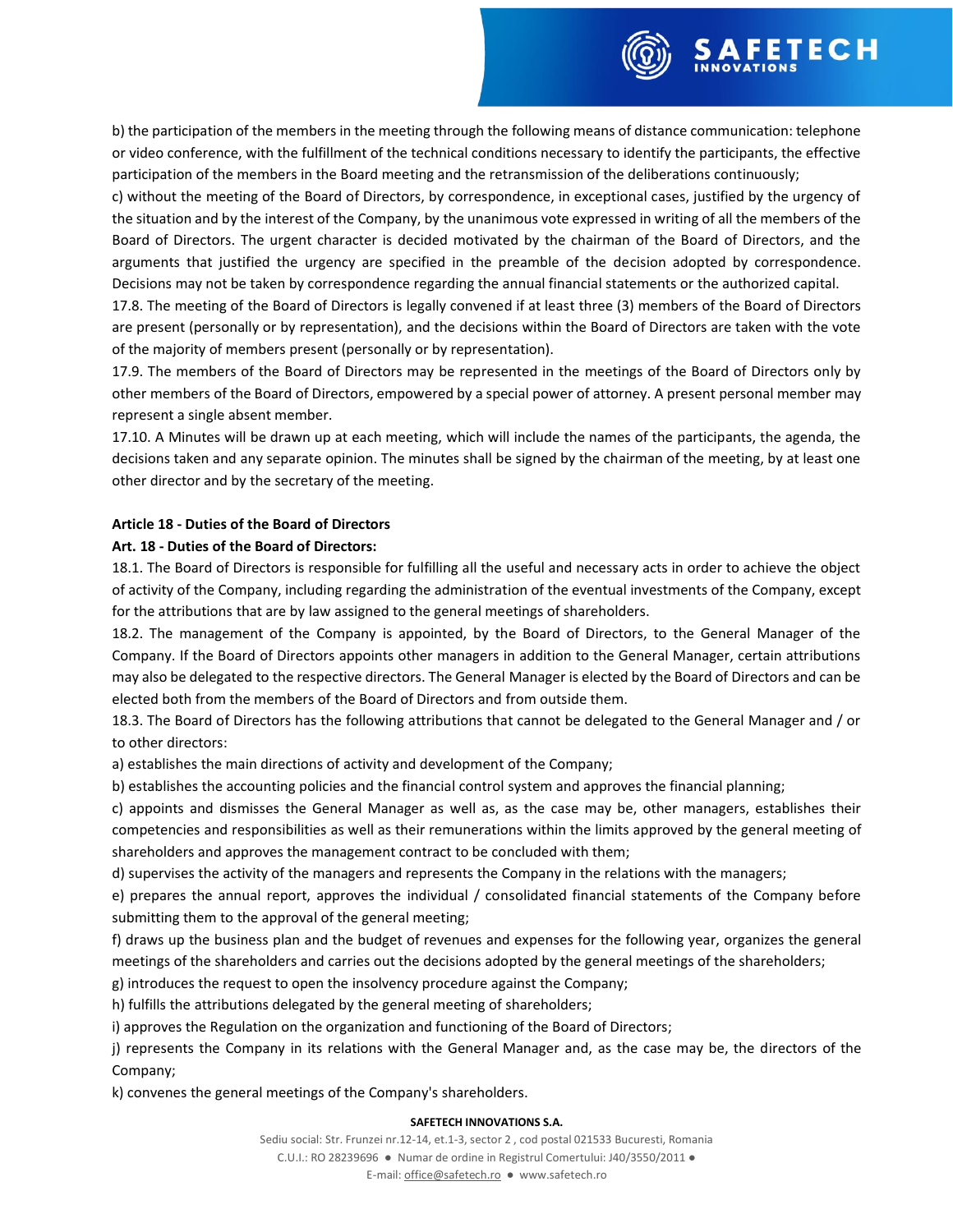

b) the participation of the members in the meeting through the following means of distance communication: telephone or video conference, with the fulfillment of the technical conditions necessary to identify the participants, the effective participation of the members in the Board meeting and the retransmission of the deliberations continuously;

c) without the meeting of the Board of Directors, by correspondence, in exceptional cases, justified by the urgency of the situation and by the interest of the Company, by the unanimous vote expressed in writing of all the members of the Board of Directors. The urgent character is decided motivated by the chairman of the Board of Directors, and the arguments that justified the urgency are specified in the preamble of the decision adopted by correspondence. Decisions may not be taken by correspondence regarding the annual financial statements or the authorized capital.

17.8. The meeting of the Board of Directors is legally convened if at least three (3) members of the Board of Directors are present (personally or by representation), and the decisions within the Board of Directors are taken with the vote of the majority of members present (personally or by representation).

17.9. The members of the Board of Directors may be represented in the meetings of the Board of Directors only by other members of the Board of Directors, empowered by a special power of attorney. A present personal member may represent a single absent member.

17.10. A Minutes will be drawn up at each meeting, which will include the names of the participants, the agenda, the decisions taken and any separate opinion. The minutes shall be signed by the chairman of the meeting, by at least one other director and by the secretary of the meeting.

# **Article 18 - Duties of the Board of Directors**

# **Art. 18 - Duties of the Board of Directors:**

18.1. The Board of Directors is responsible for fulfilling all the useful and necessary acts in order to achieve the object of activity of the Company, including regarding the administration of the eventual investments of the Company, except for the attributions that are by law assigned to the general meetings of shareholders.

18.2. The management of the Company is appointed, by the Board of Directors, to the General Manager of the Company. If the Board of Directors appoints other managers in addition to the General Manager, certain attributions may also be delegated to the respective directors. The General Manager is elected by the Board of Directors and can be elected both from the members of the Board of Directors and from outside them.

18.3. The Board of Directors has the following attributions that cannot be delegated to the General Manager and / or to other directors:

a) establishes the main directions of activity and development of the Company;

b) establishes the accounting policies and the financial control system and approves the financial planning;

c) appoints and dismisses the General Manager as well as, as the case may be, other managers, establishes their competencies and responsibilities as well as their remunerations within the limits approved by the general meeting of shareholders and approves the management contract to be concluded with them;

d) supervises the activity of the managers and represents the Company in the relations with the managers;

e) prepares the annual report, approves the individual / consolidated financial statements of the Company before submitting them to the approval of the general meeting;

f) draws up the business plan and the budget of revenues and expenses for the following year, organizes the general meetings of the shareholders and carries out the decisions adopted by the general meetings of the shareholders;

g) introduces the request to open the insolvency procedure against the Company;

h) fulfills the attributions delegated by the general meeting of shareholders;

i) approves the Regulation on the organization and functioning of the Board of Directors;

j) represents the Company in its relations with the General Manager and, as the case may be, the directors of the Company;

k) convenes the general meetings of the Company's shareholders.

# **SAFETECH INNOVATIONS S.A.**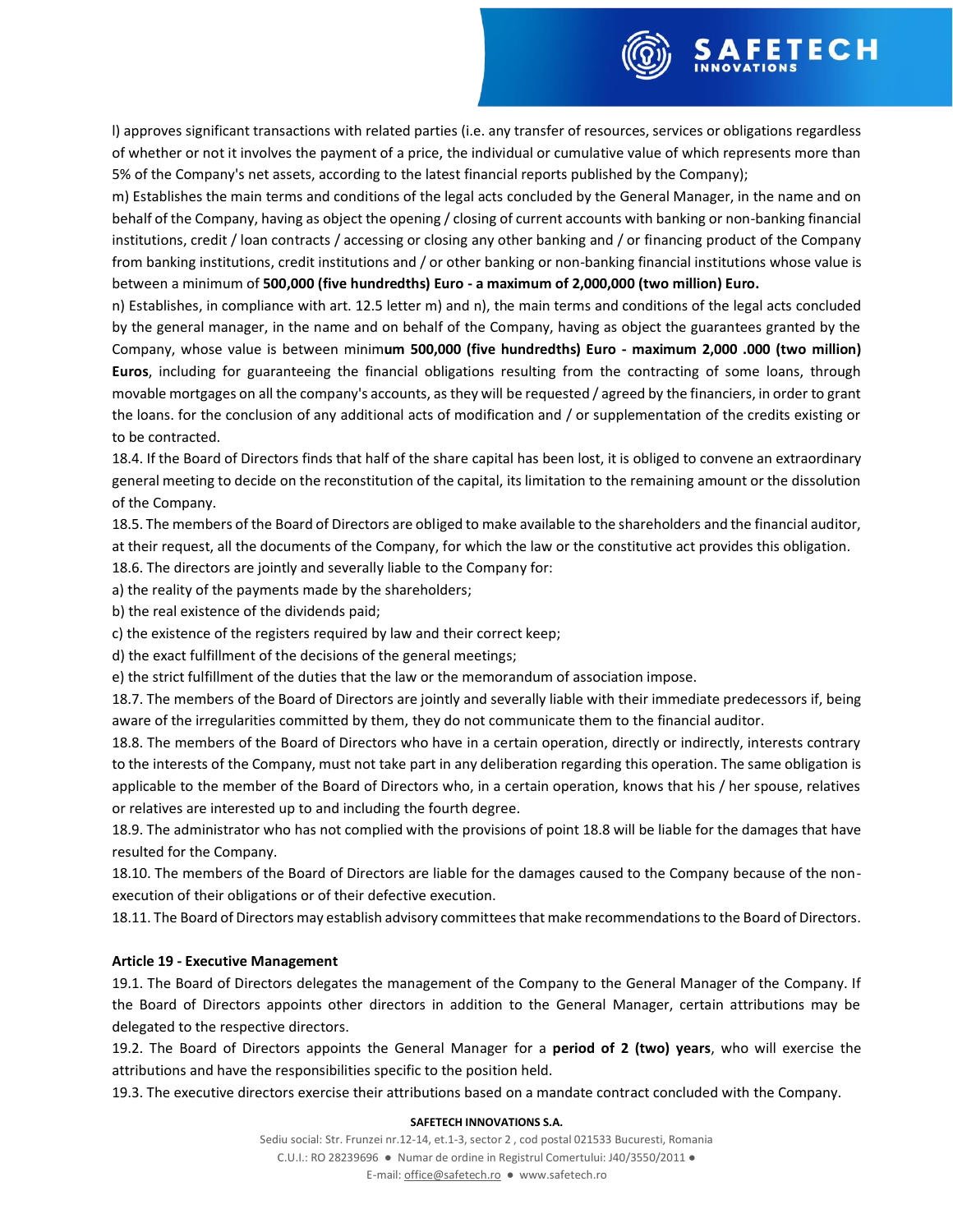

FETECH

m) Establishes the main terms and conditions of the legal acts concluded by the General Manager, in the name and on behalf of the Company, having as object the opening / closing of current accounts with banking or non-banking financial institutions, credit / loan contracts / accessing or closing any other banking and / or financing product of the Company from banking institutions, credit institutions and / or other banking or non-banking financial institutions whose value is between a minimum of **500,000 (five hundredths) Euro - a maximum of 2,000,000 (two million) Euro.**

n) Establishes, in compliance with art. 12.5 letter m) and n), the main terms and conditions of the legal acts concluded by the general manager, in the name and on behalf of the Company, having as object the guarantees granted by the Company, whose value is between minim**um 500,000 (five hundredths) Euro - maximum 2,000 .000 (two million) Euros**, including for guaranteeing the financial obligations resulting from the contracting of some loans, through movable mortgages on all the company's accounts, as they will be requested / agreed by the financiers, in order to grant the loans. for the conclusion of any additional acts of modification and / or supplementation of the credits existing or to be contracted.

18.4. If the Board of Directors finds that half of the share capital has been lost, it is obliged to convene an extraordinary general meeting to decide on the reconstitution of the capital, its limitation to the remaining amount or the dissolution of the Company.

18.5. The members of the Board of Directors are obliged to make available to the shareholders and the financial auditor, at their request, all the documents of the Company, for which the law or the constitutive act provides this obligation.

18.6. The directors are jointly and severally liable to the Company for:

a) the reality of the payments made by the shareholders;

b) the real existence of the dividends paid;

c) the existence of the registers required by law and their correct keep;

d) the exact fulfillment of the decisions of the general meetings;

e) the strict fulfillment of the duties that the law or the memorandum of association impose.

18.7. The members of the Board of Directors are jointly and severally liable with their immediate predecessors if, being aware of the irregularities committed by them, they do not communicate them to the financial auditor.

18.8. The members of the Board of Directors who have in a certain operation, directly or indirectly, interests contrary to the interests of the Company, must not take part in any deliberation regarding this operation. The same obligation is applicable to the member of the Board of Directors who, in a certain operation, knows that his / her spouse, relatives or relatives are interested up to and including the fourth degree.

18.9. The administrator who has not complied with the provisions of point 18.8 will be liable for the damages that have resulted for the Company.

18.10. The members of the Board of Directors are liable for the damages caused to the Company because of the nonexecution of their obligations or of their defective execution.

18.11. The Board of Directors may establish advisory committees that make recommendations to the Board of Directors.

### **Article 19 - Executive Management**

19.1. The Board of Directors delegates the management of the Company to the General Manager of the Company. If the Board of Directors appoints other directors in addition to the General Manager, certain attributions may be delegated to the respective directors.

19.2. The Board of Directors appoints the General Manager for a **period of 2 (two) years**, who will exercise the attributions and have the responsibilities specific to the position held.

19.3. The executive directors exercise their attributions based on a mandate contract concluded with the Company.

#### **SAFETECH INNOVATIONS S.A.**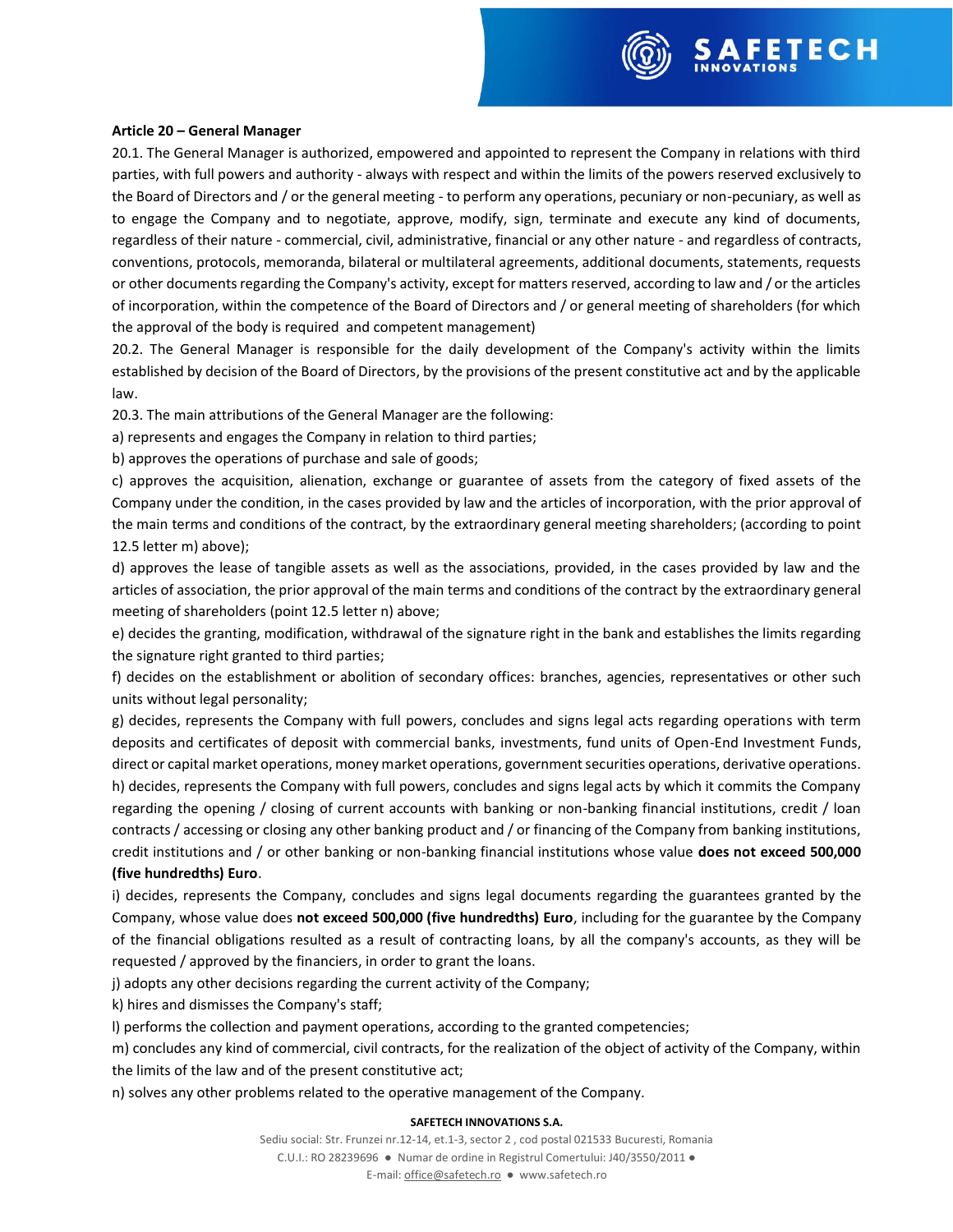

### **Article 20 – General Manager**

20.1. The General Manager is authorized, empowered and appointed to represent the Company in relations with third parties, with full powers and authority - always with respect and within the limits of the powers reserved exclusively to the Board of Directors and / or the general meeting - to perform any operations, pecuniary or non-pecuniary, as well as to engage the Company and to negotiate, approve, modify, sign, terminate and execute any kind of documents, regardless of their nature - commercial, civil, administrative, financial or any other nature - and regardless of contracts, conventions, protocols, memoranda, bilateral or multilateral agreements, additional documents, statements, requests or other documents regarding the Company's activity, except for matters reserved, according to law and / or the articles of incorporation, within the competence of the Board of Directors and / or general meeting of shareholders (for which the approval of the body is required and competent management)

20.2. The General Manager is responsible for the daily development of the Company's activity within the limits established by decision of the Board of Directors, by the provisions of the present constitutive act and by the applicable law.

20.3. The main attributions of the General Manager are the following:

a) represents and engages the Company in relation to third parties;

b) approves the operations of purchase and sale of goods;

c) approves the acquisition, alienation, exchange or guarantee of assets from the category of fixed assets of the Company under the condition, in the cases provided by law and the articles of incorporation, with the prior approval of the main terms and conditions of the contract, by the extraordinary general meeting shareholders; (according to point 12.5 letter m) above);

d) approves the lease of tangible assets as well as the associations, provided, in the cases provided by law and the articles of association, the prior approval of the main terms and conditions of the contract by the extraordinary general meeting of shareholders (point 12.5 letter n) above;

e) decides the granting, modification, withdrawal of the signature right in the bank and establishes the limits regarding the signature right granted to third parties;

f) decides on the establishment or abolition of secondary offices: branches, agencies, representatives or other such units without legal personality;

g) decides, represents the Company with full powers, concludes and signs legal acts regarding operations with term deposits and certificates of deposit with commercial banks, investments, fund units of Open-End Investment Funds, direct or capital market operations, money market operations, government securities operations, derivative operations. h) decides, represents the Company with full powers, concludes and signs legal acts by which it commits the Company regarding the opening / closing of current accounts with banking or non-banking financial institutions, credit / loan contracts / accessing or closing any other banking product and / or financing of the Company from banking institutions, credit institutions and / or other banking or non-banking financial institutions whose value **does not exceed 500,000 (five hundredths) Euro**.

i) decides, represents the Company, concludes and signs legal documents regarding the guarantees granted by the Company, whose value does **not exceed 500,000 (five hundredths) Euro**, including for the guarantee by the Company of the financial obligations resulted as a result of contracting loans, by all the company's accounts, as they will be requested / approved by the financiers, in order to grant the loans.

j) adopts any other decisions regarding the current activity of the Company;

k) hires and dismisses the Company's staff;

l) performs the collection and payment operations, according to the granted competencies;

m) concludes any kind of commercial, civil contracts, for the realization of the object of activity of the Company, within the limits of the law and of the present constitutive act;

n) solves any other problems related to the operative management of the Company.

### **SAFETECH INNOVATIONS S.A.**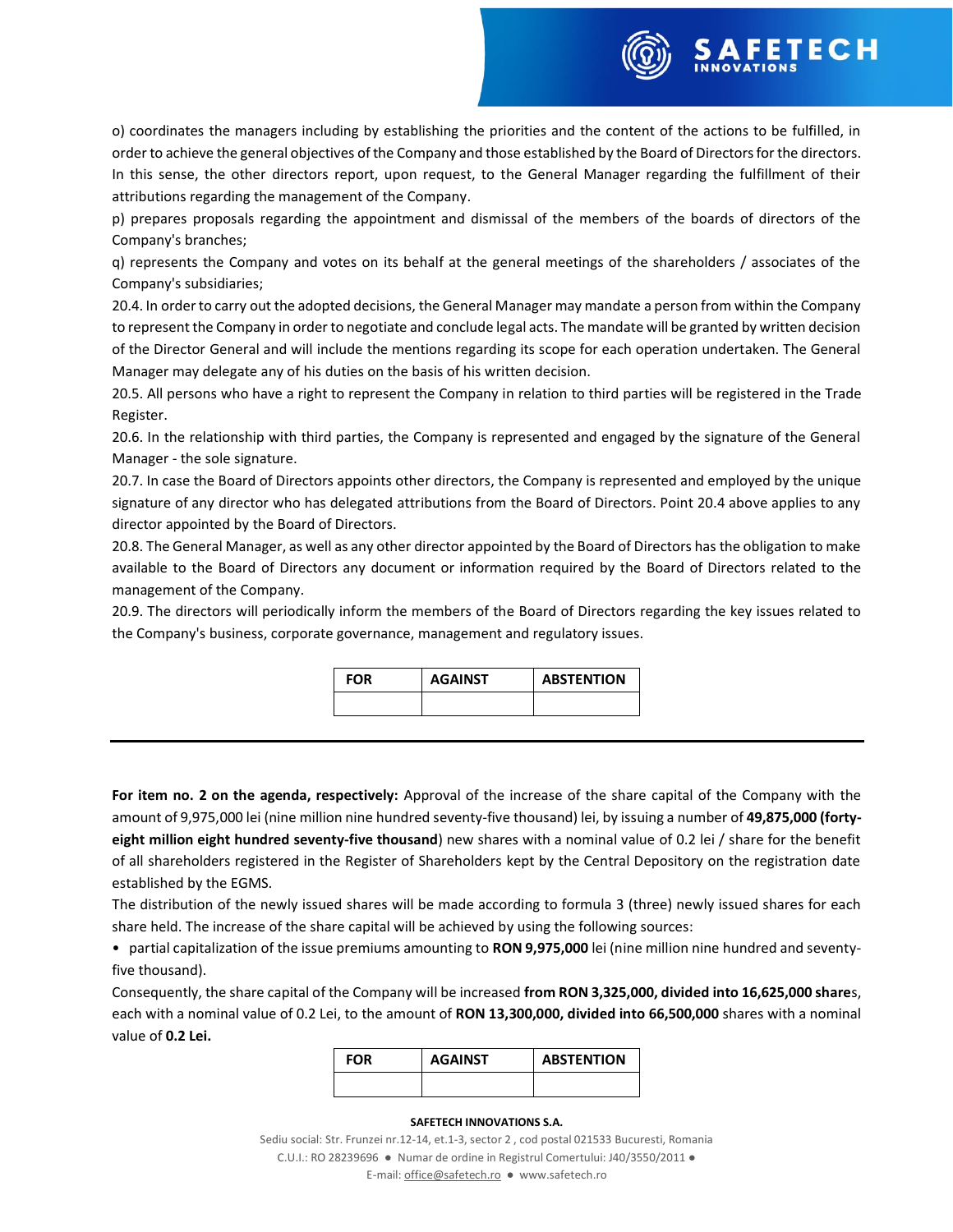

o) coordinates the managers including by establishing the priorities and the content of the actions to be fulfilled, in order to achieve the general objectives of the Company and those established by the Board of Directors for the directors. In this sense, the other directors report, upon request, to the General Manager regarding the fulfillment of their attributions regarding the management of the Company.

p) prepares proposals regarding the appointment and dismissal of the members of the boards of directors of the Company's branches;

q) represents the Company and votes on its behalf at the general meetings of the shareholders / associates of the Company's subsidiaries;

20.4. In order to carry out the adopted decisions, the General Manager may mandate a person from within the Company to represent the Company in order to negotiate and conclude legal acts. The mandate will be granted by written decision of the Director General and will include the mentions regarding its scope for each operation undertaken. The General Manager may delegate any of his duties on the basis of his written decision.

20.5. All persons who have a right to represent the Company in relation to third parties will be registered in the Trade Register.

20.6. In the relationship with third parties, the Company is represented and engaged by the signature of the General Manager - the sole signature.

20.7. In case the Board of Directors appoints other directors, the Company is represented and employed by the unique signature of any director who has delegated attributions from the Board of Directors. Point 20.4 above applies to any director appointed by the Board of Directors.

20.8. The General Manager, as well as any other director appointed by the Board of Directors has the obligation to make available to the Board of Directors any document or information required by the Board of Directors related to the management of the Company.

20.9. The directors will periodically inform the members of the Board of Directors regarding the key issues related to the Company's business, corporate governance, management and regulatory issues.

| <b>FOR</b> | <b>AGAINST</b> | <b>ABSTENTION</b> |
|------------|----------------|-------------------|
|            |                |                   |

**For item no. 2 on the agenda, respectively:** Approval of the increase of the share capital of the Company with the amount of 9,975,000 lei (nine million nine hundred seventy-five thousand) lei, by issuing a number of **49,875,000 (fortyeight million eight hundred seventy-five thousand**) new shares with a nominal value of 0.2 lei / share for the benefit of all shareholders registered in the Register of Shareholders kept by the Central Depository on the registration date established by the EGMS.

The distribution of the newly issued shares will be made according to formula 3 (three) newly issued shares for each share held. The increase of the share capital will be achieved by using the following sources:

• partial capitalization of the issue premiums amounting to **RON 9,975,000** lei (nine million nine hundred and seventyfive thousand).

Consequently, the share capital of the Company will be increased **from RON 3,325,000, divided into 16,625,000 share**s, each with a nominal value of 0.2 Lei, to the amount of **RON 13,300,000, divided into 66,500,000** shares with a nominal value of **0.2 Lei.**

| <b>FOR</b> | <b>AGAINST</b> | <b>ABSTENTION</b> |
|------------|----------------|-------------------|
|            |                |                   |

### **SAFETECH INNOVATIONS S.A.**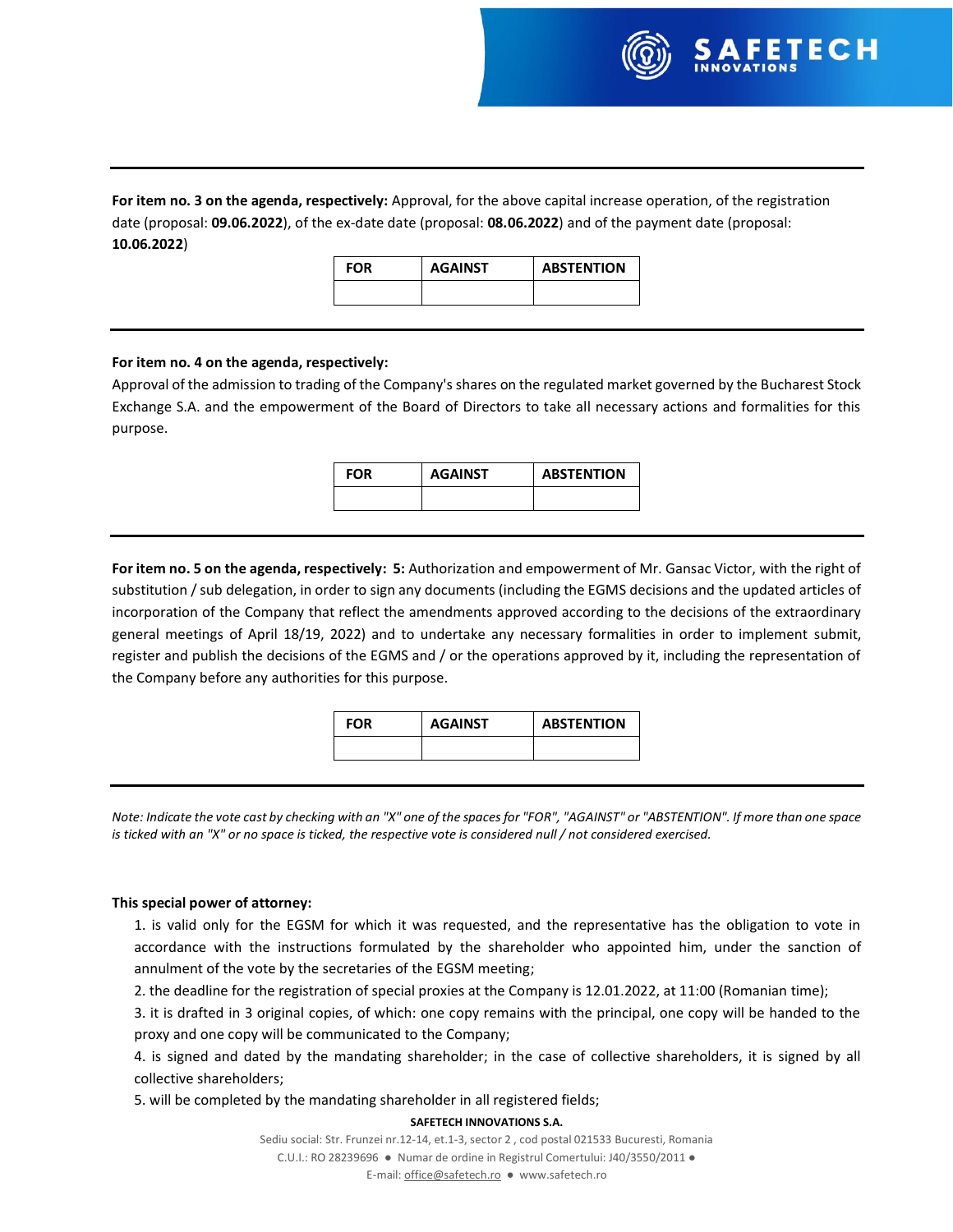

**For item no. 3 on the agenda, respectively:** Approval, for the above capital increase operation, of the registration date (proposal: **09.06.2022**), of the ex-date date (proposal: **08.06.2022**) and of the payment date (proposal: **10.06.2022**)

**FOR AGAINST ABSTENTION**

# **For item no. 4 on the agenda, respectively:**

Approval of the admission to trading of the Company's shares on the regulated market governed by the Bucharest Stock Exchange S.A. and the empowerment of the Board of Directors to take all necessary actions and formalities for this purpose.

| <b>FOR</b> | <b>AGAINST</b> | <b>ABSTENTION</b> |
|------------|----------------|-------------------|
|            |                |                   |

**For item no. 5 on the agenda, respectively: 5:** Authorization and empowerment of Mr. Gansac Victor, with the right of substitution / sub delegation, in order to sign any documents (including the EGMS decisions and the updated articles of incorporation of the Company that reflect the amendments approved according to the decisions of the extraordinary general meetings of April 18/19, 2022) and to undertake any necessary formalities in order to implement submit, register and publish the decisions of the EGMS and / or the operations approved by it, including the representation of the Company before any authorities for this purpose.

| <b>FOR</b> | <b>AGAINST</b> | <b>ABSTENTION</b> |
|------------|----------------|-------------------|
|            |                |                   |

*Note: Indicate the vote cast by checking with an "X" one of the spaces for "FOR", "AGAINST" or "ABSTENTION". If more than one space is ticked with an "X" or no space is ticked, the respective vote is considered null / not considered exercised.*

# **This special power of attorney:**

1. is valid only for the EGSM for which it was requested, and the representative has the obligation to vote in accordance with the instructions formulated by the shareholder who appointed him, under the sanction of annulment of the vote by the secretaries of the EGSM meeting;

2. the deadline for the registration of special proxies at the Company is 12.01.2022, at 11:00 (Romanian time);

3. it is drafted in 3 original copies, of which: one copy remains with the principal, one copy will be handed to the proxy and one copy will be communicated to the Company;

4. is signed and dated by the mandating shareholder; in the case of collective shareholders, it is signed by all collective shareholders;

5. will be completed by the mandating shareholder in all registered fields;

# **SAFETECH INNOVATIONS S.A.**